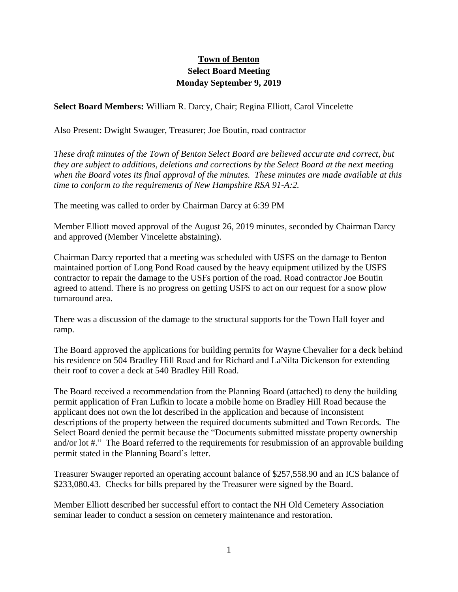## **Town of Benton Select Board Meeting Monday September 9, 2019**

**Select Board Members:** William R. Darcy, Chair; Regina Elliott, Carol Vincelette

Also Present: Dwight Swauger, Treasurer; Joe Boutin, road contractor

*These draft minutes of the Town of Benton Select Board are believed accurate and correct, but they are subject to additions, deletions and corrections by the Select Board at the next meeting when the Board votes its final approval of the minutes. These minutes are made available at this time to conform to the requirements of New Hampshire RSA 91-A:2.*

The meeting was called to order by Chairman Darcy at 6:39 PM

Member Elliott moved approval of the August 26, 2019 minutes, seconded by Chairman Darcy and approved (Member Vincelette abstaining).

Chairman Darcy reported that a meeting was scheduled with USFS on the damage to Benton maintained portion of Long Pond Road caused by the heavy equipment utilized by the USFS contractor to repair the damage to the USFs portion of the road. Road contractor Joe Boutin agreed to attend. There is no progress on getting USFS to act on our request for a snow plow turnaround area.

There was a discussion of the damage to the structural supports for the Town Hall foyer and ramp.

The Board approved the applications for building permits for Wayne Chevalier for a deck behind his residence on 504 Bradley Hill Road and for Richard and LaNilta Dickenson for extending their roof to cover a deck at 540 Bradley Hill Road.

The Board received a recommendation from the Planning Board (attached) to deny the building permit application of Fran Lufkin to locate a mobile home on Bradley Hill Road because the applicant does not own the lot described in the application and because of inconsistent descriptions of the property between the required documents submitted and Town Records. The Select Board denied the permit because the "Documents submitted misstate property ownership and/or lot #." The Board referred to the requirements for resubmission of an approvable building permit stated in the Planning Board's letter.

Treasurer Swauger reported an operating account balance of \$257,558.90 and an ICS balance of \$233,080.43. Checks for bills prepared by the Treasurer were signed by the Board.

Member Elliott described her successful effort to contact the NH Old Cemetery Association seminar leader to conduct a session on cemetery maintenance and restoration.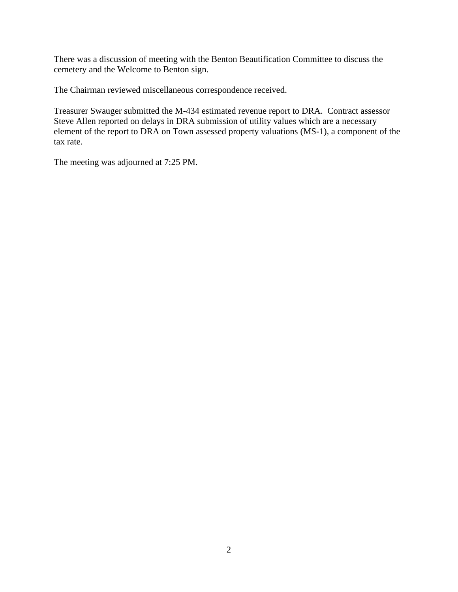There was a discussion of meeting with the Benton Beautification Committee to discuss the cemetery and the Welcome to Benton sign.

The Chairman reviewed miscellaneous correspondence received.

Treasurer Swauger submitted the M-434 estimated revenue report to DRA. Contract assessor Steve Allen reported on delays in DRA submission of utility values which are a necessary element of the report to DRA on Town assessed property valuations (MS-1), a component of the tax rate.

The meeting was adjourned at 7:25 PM.